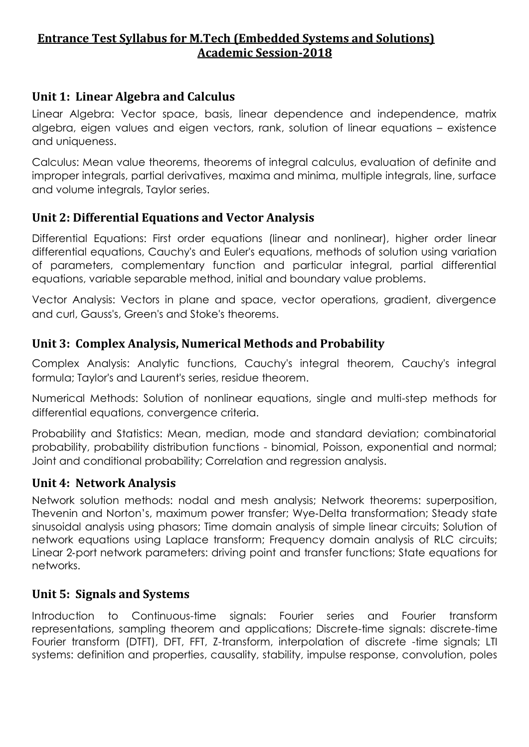### **Entrance Test Syllabus for M.Tech (Embedded Systems and Solutions) Academic Session-2018**

### **Unit 1: Linear Algebra and Calculus**

Linear Algebra: Vector space, basis, linear dependence and independence, matrix algebra, eigen values and eigen vectors, rank, solution of linear equations – existence and uniqueness.

Calculus: Mean value theorems, theorems of integral calculus, evaluation of definite and improper integrals, partial derivatives, maxima and minima, multiple integrals, line, surface and volume integrals, Taylor series.

# **Unit 2: Differential Equations and Vector Analysis**

Differential Equations: First order equations (linear and nonlinear), higher order linear differential equations, Cauchy's and Euler's equations, methods of solution using variation of parameters, complementary function and particular integral, partial differential equations, variable separable method, initial and boundary value problems.

Vector Analysis: Vectors in plane and space, vector operations, gradient, divergence and curl, Gauss's, Green's and Stoke's theorems.

# **Unit 3: Complex Analysis, Numerical Methods and Probability**

Complex Analysis: Analytic functions, Cauchy's integral theorem, Cauchy's integral formula; Taylor's and Laurent's series, residue theorem.

Numerical Methods: Solution of nonlinear equations, single and multi-step methods for differential equations, convergence criteria.

Probability and Statistics: Mean, median, mode and standard deviation; combinatorial probability, probability distribution functions - binomial, Poisson, exponential and normal; Joint and conditional probability; Correlation and regression analysis.

### **Unit 4: Network Analysis**

Network solution methods: nodal and mesh analysis; Network theorems: superposition, Thevenin and Norton's, maximum power transfer; Wye‐Delta transformation; Steady state sinusoidal analysis using phasors; Time domain analysis of simple linear circuits; Solution of network equations using Laplace transform; Frequency domain analysis of RLC circuits; Linear 2‐port network parameters: driving point and transfer functions; State equations for networks.

### **Unit 5: Signals and Systems**

Introduction to Continuous-time signals: Fourier series and Fourier transform representations, sampling theorem and applications; Discrete-time signals: discrete-time Fourier transform (DTFT), DFT, FFT, Z-transform, interpolation of discrete -time signals; LTI systems: definition and properties, causality, stability, impulse response, convolution, poles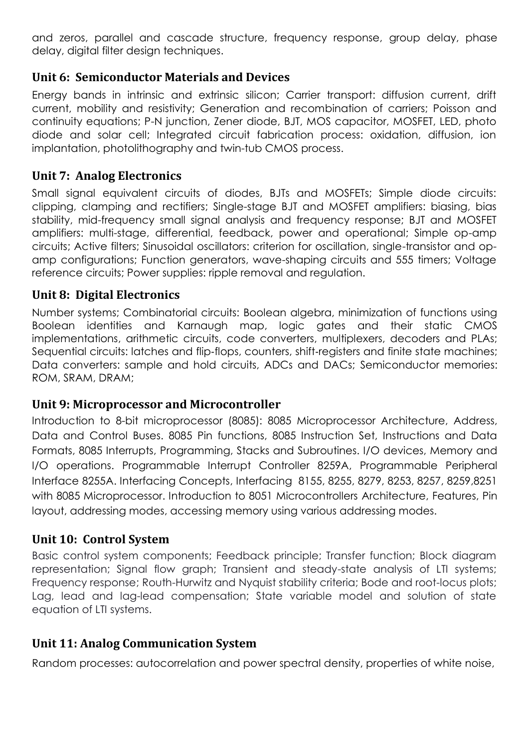and zeros, parallel and cascade structure, frequency response, group delay, phase delay, digital filter design techniques.

# **Unit 6: Semiconductor Materials and Devices**

Energy bands in intrinsic and extrinsic silicon; Carrier transport: diffusion current, drift current, mobility and resistivity; Generation and recombination of carriers; Poisson and continuity equations; P-N junction, Zener diode, BJT, MOS capacitor, MOSFET, LED, photo diode and solar cell; Integrated circuit fabrication process: oxidation, diffusion, ion implantation, photolithography and twin-tub CMOS process.

# **Unit 7: Analog Electronics**

Small signal equivalent circuits of diodes, BJTs and MOSFETs; Simple diode circuits: clipping, clamping and rectifiers; Single-stage BJT and MOSFET amplifiers: biasing, bias stability, mid-frequency small signal analysis and frequency response; BJT and MOSFET amplifiers: multi-stage, differential, feedback, power and operational; Simple op-amp circuits; Active filters; Sinusoidal oscillators: criterion for oscillation, single-transistor and opamp configurations; Function generators, wave-shaping circuits and 555 timers; Voltage reference circuits; Power supplies: ripple removal and regulation.

### **Unit 8: Digital Electronics**

Number systems; Combinatorial circuits: Boolean algebra, minimization of functions using Boolean identities and Karnaugh map, logic gates and their static CMOS implementations, arithmetic circuits, code converters, multiplexers, decoders and PLAs; Sequential circuits: latches and flip-flops, counters, shift-registers and finite state machines; Data converters: sample and hold circuits, ADCs and DACs; Semiconductor memories: ROM, SRAM, DRAM;

### **Unit 9: Microprocessor and Microcontroller**

Introduction to 8-bit microprocessor (8085): 8085 Microprocessor Architecture, Address, Data and Control Buses. 8085 Pin functions, 8085 Instruction Set, Instructions and Data Formats, 8085 Interrupts, Programming, Stacks and Subroutines. I/O devices, Memory and I/O operations. Programmable Interrupt Controller 8259A, Programmable Peripheral Interface 8255A. Interfacing Concepts, Interfacing 8155, 8255, 8279, 8253, 8257, 8259,8251 with 8085 Microprocessor. Introduction to 8051 Microcontrollers Architecture, Features, Pin layout, addressing modes, accessing memory using various addressing modes.

### **Unit 10: Control System**

Basic control system components; Feedback principle; Transfer function; Block diagram representation; Signal flow graph; Transient and steady-state analysis of LTI systems; Frequency response; Routh-Hurwitz and Nyquist stability criteria; Bode and root-locus plots; Lag, lead and lag-lead compensation; State variable model and solution of state equation of LTI systems.

### **Unit 11: Analog Communication System**

Random processes: autocorrelation and power spectral density, properties of white noise,